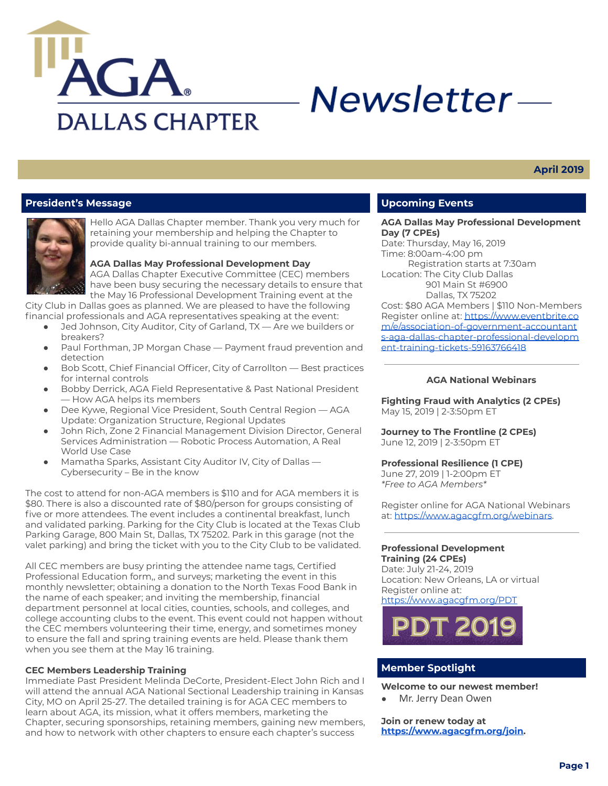

# Newsletter-

# **April 2019**

## **President's Message**



Hello AGA Dallas Chapter member. Thank you very much for retaining your membership and helping the Chapter to provide quality bi-annual training to our members.

**AGA Dallas May Professional Development Day** AGA Dallas Chapter Executive Committee (CEC) members

have been busy securing the necessary details to ensure that the May 16 Professional Development Training event at the

City Club in Dallas goes as planned. We are pleased to have the following financial professionals and AGA representatives speaking at the event:

- Jed Johnson, City Auditor, City of Garland, TX Are we builders or breakers?
- Paul Forthman, JP Morgan Chase Payment fraud prevention and detection
- Bob Scott, Chief Financial Officer, City of Carrollton Best practices for internal controls
- Bobby Derrick, AGA Field Representative & Past National President — How AGA helps its members
- Dee Kywe, Regional Vice President, South Central Region AGA Update: Organization Structure, Regional Updates
- John Rich, Zone 2 Financial Management Division Director, General Services Administration — Robotic Process Automation, A Real World Use Case
- Mamatha Sparks, Assistant City Auditor IV, City of Dallas Cybersecurity – Be in the know

The cost to attend for non-AGA members is \$110 and for AGA members it is \$80. There is also a discounted rate of \$80/person for groups consisting of five or more attendees. The event includes a continental breakfast, lunch and validated parking. Parking for the City Club is located at the Texas Club Parking Garage, 800 Main St, Dallas, TX 75202. Park in this garage (not the valet parking) and bring the ticket with you to the City Club to be validated.

All CEC members are busy printing the attendee name tags, Certified Professional Education form,, and surveys; marketing the event in this monthly newsletter; obtaining a donation to the North Texas Food Bank in the name of each speaker; and inviting the membership, financial department personnel at local cities, counties, schools, and colleges, and college accounting clubs to the event. This event could not happen without the CEC members volunteering their time, energy, and sometimes money to ensure the fall and spring training events are held. Please thank them when you see them at the May 16 training.

#### **CEC Members Leadership Training**

Immediate Past President Melinda DeCorte, President-Elect John Rich and I will attend the annual AGA National Sectional Leadership training in Kansas City, MO on April 25-27. The detailed training is for AGA CEC members to learn about AGA, its mission, what it offers members, marketing the Chapter, securing sponsorships, retaining members, gaining new members, and how to network with other chapters to ensure each chapter's success

## **Upcoming Events**

**AGA Dallas May Professional Development Day (7 CPEs)**

Date: Thursday, May 16, 2019 Time: 8:00am-4:00 pm Registration starts at 7:30am Location: The City Club Dallas 901 Main St #6900

Dallas, TX 75202

Cost: \$80 AGA Members | \$110 Non-Members Register online at: [https://www.eventbrite.co](https://www.eventbrite.com/e/association-of-government-accountants-aga-dallas-chapter-professional-development-training-tickets-59163766418) [m/e/association-of-government-accountant](https://www.eventbrite.com/e/association-of-government-accountants-aga-dallas-chapter-professional-development-training-tickets-59163766418) [s-aga-dallas-chapter-professional-developm](https://www.eventbrite.com/e/association-of-government-accountants-aga-dallas-chapter-professional-development-training-tickets-59163766418) [ent-training-tickets-59163766418](https://www.eventbrite.com/e/association-of-government-accountants-aga-dallas-chapter-professional-development-training-tickets-59163766418)

#### **AGA National Webinars**

**Fighting Fraud with Analytics (2 CPEs)** May 15, 2019 | 2-3:50pm ET

**Journey to The Frontline (2 CPEs)** June 12, 2019 | 2-3:50pm ET

## **Professional Resilience (1 CPE)**

June 27, 2019 | 1-2:00pm ET *\*Free to AGA Members\**

Register online for AGA National Webinars at: <https://www.agacgfm.org/webinars>.

#### **Professional Development Training (24 CPEs)**

Date: July 21-24, 2019 Location: New Orleans, LA or virtual Register online at: <https://www.agacgfm.org/PDT>



## **Member Spotlight**

**Welcome to our newest member!**

Mr. Jerry Dean Owen

**Join or renew today at <https://www.agacgfm.org/join>.**